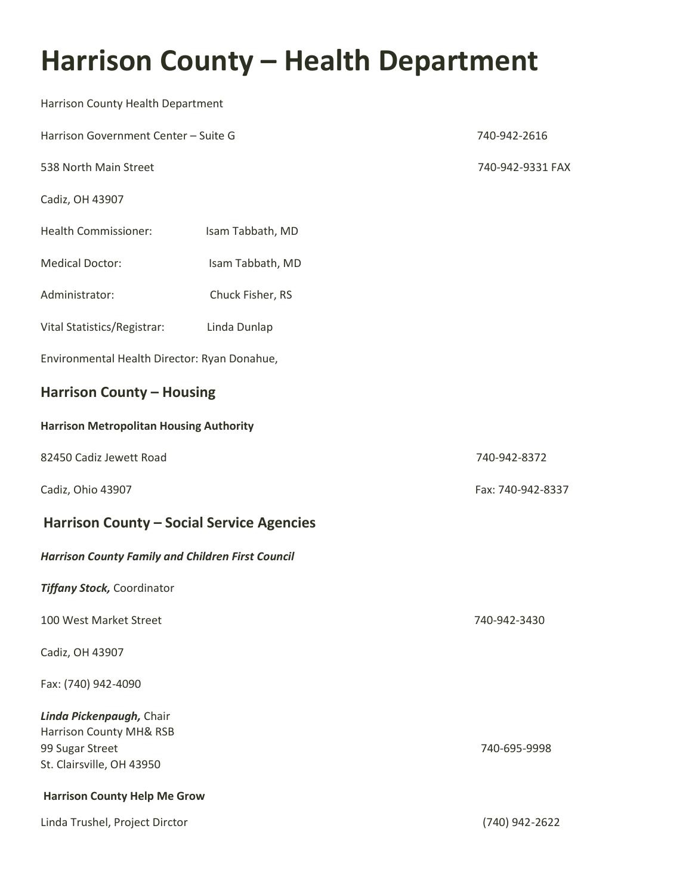## **Harrison County - Health Department**

| Harrison County Health Department                                                                   |                  |                   |
|-----------------------------------------------------------------------------------------------------|------------------|-------------------|
| Harrison Government Center - Suite G                                                                | 740-942-2616     |                   |
| 538 North Main Street                                                                               |                  | 740-942-9331 FAX  |
| Cadiz, OH 43907                                                                                     |                  |                   |
| <b>Health Commissioner:</b>                                                                         | Isam Tabbath, MD |                   |
| <b>Medical Doctor:</b>                                                                              | Isam Tabbath, MD |                   |
| Administrator:                                                                                      | Chuck Fisher, RS |                   |
| Vital Statistics/Registrar:                                                                         | Linda Dunlap     |                   |
| Environmental Health Director: Ryan Donahue,                                                        |                  |                   |
| <b>Harrison County - Housing</b>                                                                    |                  |                   |
| <b>Harrison Metropolitan Housing Authority</b>                                                      |                  |                   |
| 82450 Cadiz Jewett Road                                                                             |                  | 740-942-8372      |
| Cadiz, Ohio 43907                                                                                   |                  | Fax: 740-942-8337 |
| <b>Harrison County - Social Service Agencies</b>                                                    |                  |                   |
| <b>Harrison County Family and Children First Council</b>                                            |                  |                   |
| <b>Tiffany Stock, Coordinator</b>                                                                   |                  |                   |
| 100 West Market Street                                                                              |                  | 740-942-3430      |
| Cadiz, OH 43907                                                                                     |                  |                   |
| Fax: (740) 942-4090                                                                                 |                  |                   |
| Linda Pickenpaugh, Chair<br>Harrison County MH& RSB<br>99 Sugar Street<br>St. Clairsville, OH 43950 |                  | 740-695-9998      |
| <b>Harrison County Help Me Grow</b>                                                                 |                  |                   |
| Linda Trushel, Project Dirctor                                                                      |                  | (740) 942-2622    |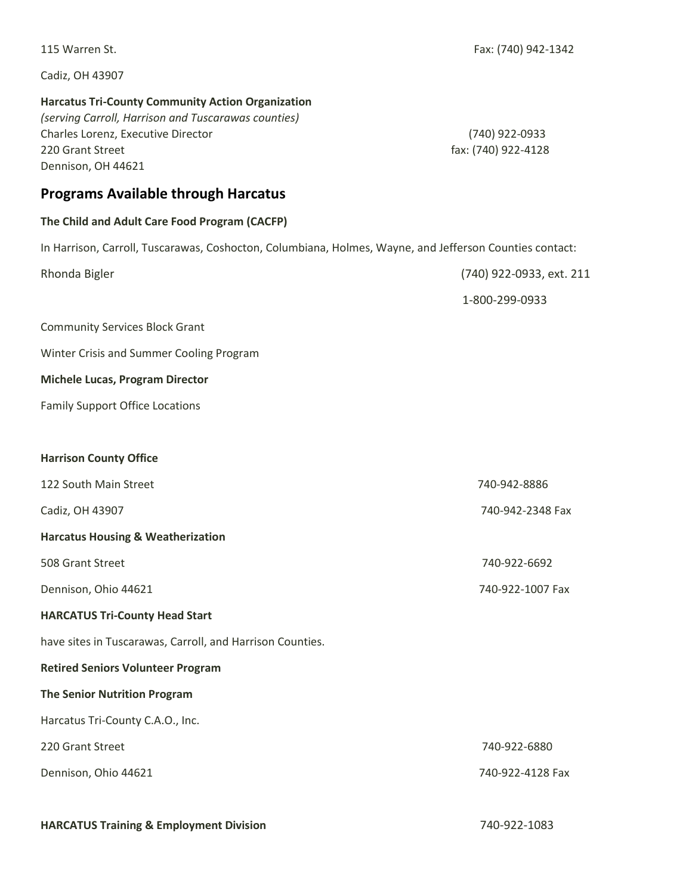| 115 Warren St.                                                                                                                                                                                  | Fax: (740) 942-1342                   |
|-------------------------------------------------------------------------------------------------------------------------------------------------------------------------------------------------|---------------------------------------|
| Cadiz, OH 43907                                                                                                                                                                                 |                                       |
| <b>Harcatus Tri-County Community Action Organization</b><br>(serving Carroll, Harrison and Tuscarawas counties)<br>Charles Lorenz, Executive Director<br>220 Grant Street<br>Dennison, OH 44621 | (740) 922-0933<br>fax: (740) 922-4128 |
| <b>Programs Available through Harcatus</b>                                                                                                                                                      |                                       |
| The Child and Adult Care Food Program (CACFP)                                                                                                                                                   |                                       |
| In Harrison, Carroll, Tuscarawas, Coshocton, Columbiana, Holmes, Wayne, and Jefferson Counties contact:                                                                                         |                                       |
| Rhonda Bigler                                                                                                                                                                                   | (740) 922-0933, ext. 211              |
|                                                                                                                                                                                                 | 1-800-299-0933                        |
| <b>Community Services Block Grant</b>                                                                                                                                                           |                                       |
| Winter Crisis and Summer Cooling Program                                                                                                                                                        |                                       |
| <b>Michele Lucas, Program Director</b>                                                                                                                                                          |                                       |
| <b>Family Support Office Locations</b>                                                                                                                                                          |                                       |
|                                                                                                                                                                                                 |                                       |
| <b>Harrison County Office</b>                                                                                                                                                                   |                                       |
| 122 South Main Street                                                                                                                                                                           | 740-942-8886                          |
| Cadiz, OH 43907                                                                                                                                                                                 | 740-942-2348 Fax                      |
| <b>Harcatus Housing &amp; Weatherization</b>                                                                                                                                                    |                                       |
| 508 Grant Street                                                                                                                                                                                | 740-922-6692                          |
| Dennison, Ohio 44621                                                                                                                                                                            | 740-922-1007 Fax                      |
| <b>HARCATUS Tri-County Head Start</b>                                                                                                                                                           |                                       |
| have sites in Tuscarawas, Carroll, and Harrison Counties.                                                                                                                                       |                                       |
| <b>Retired Seniors Volunteer Program</b>                                                                                                                                                        |                                       |
| <b>The Senior Nutrition Program</b>                                                                                                                                                             |                                       |
| Harcatus Tri-County C.A.O., Inc.                                                                                                                                                                |                                       |
| 220 Grant Street                                                                                                                                                                                | 740-922-6880                          |
| Dennison, Ohio 44621                                                                                                                                                                            | 740-922-4128 Fax                      |
|                                                                                                                                                                                                 |                                       |

**HARCATUS Training & Employment Division** 740-922-1083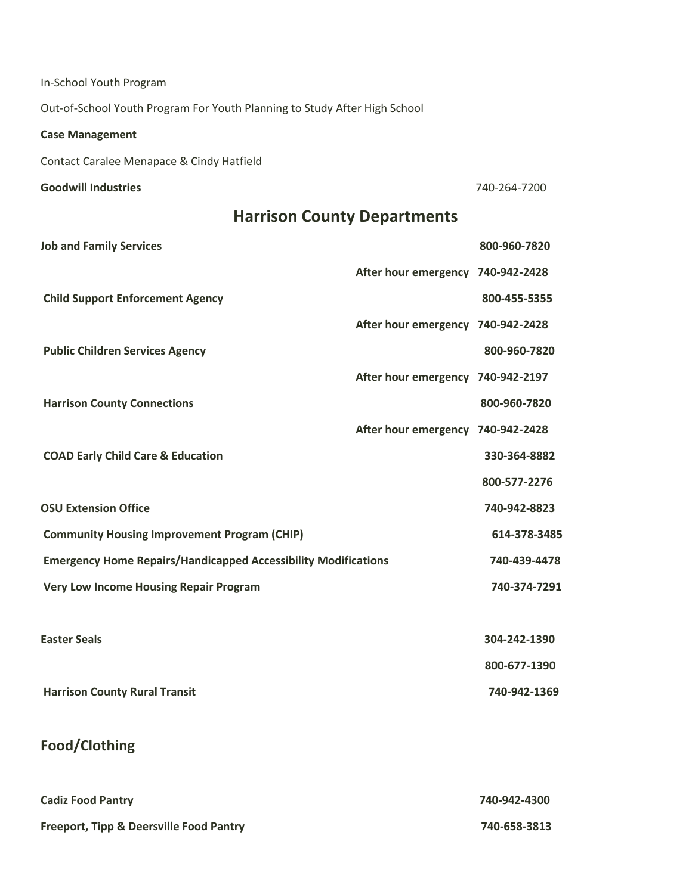| In-School Youth Program                                                   |                                   |              |
|---------------------------------------------------------------------------|-----------------------------------|--------------|
| Out-of-School Youth Program For Youth Planning to Study After High School |                                   |              |
| <b>Case Management</b>                                                    |                                   |              |
| Contact Caralee Menapace & Cindy Hatfield                                 |                                   |              |
| <b>Goodwill Industries</b>                                                |                                   | 740-264-7200 |
| <b>Harrison County Departments</b>                                        |                                   |              |
| <b>Job and Family Services</b>                                            |                                   | 800-960-7820 |
|                                                                           | After hour emergency 740-942-2428 |              |
| <b>Child Support Enforcement Agency</b>                                   |                                   | 800-455-5355 |
|                                                                           | After hour emergency 740-942-2428 |              |
| <b>Public Children Services Agency</b>                                    |                                   | 800-960-7820 |
|                                                                           | After hour emergency 740-942-2197 |              |
| <b>Harrison County Connections</b>                                        |                                   | 800-960-7820 |
|                                                                           | After hour emergency 740-942-2428 |              |
| <b>COAD Early Child Care &amp; Education</b>                              |                                   | 330-364-8882 |
|                                                                           |                                   | 800-577-2276 |
| <b>OSU Extension Office</b>                                               |                                   | 740-942-8823 |
| <b>Community Housing Improvement Program (CHIP)</b>                       |                                   | 614-378-3485 |
| <b>Emergency Home Repairs/Handicapped Accessibility Modifications</b>     |                                   | 740-439-4478 |
| <b>Very Low Income Housing Repair Program</b>                             |                                   | 740-374-7291 |
|                                                                           |                                   |              |
| <b>Easter Seals</b>                                                       |                                   | 304-242-1390 |
|                                                                           |                                   | 800-677-1390 |
| <b>Harrison County Rural Transit</b>                                      |                                   | 740-942-1369 |
|                                                                           |                                   |              |
| Food/Clothing                                                             |                                   |              |
|                                                                           |                                   |              |
| <b>Cadiz Food Pantry</b>                                                  |                                   | 740-942-4300 |
| <b>Freeport, Tipp &amp; Deersville Food Pantry</b>                        |                                   | 740-658-3813 |